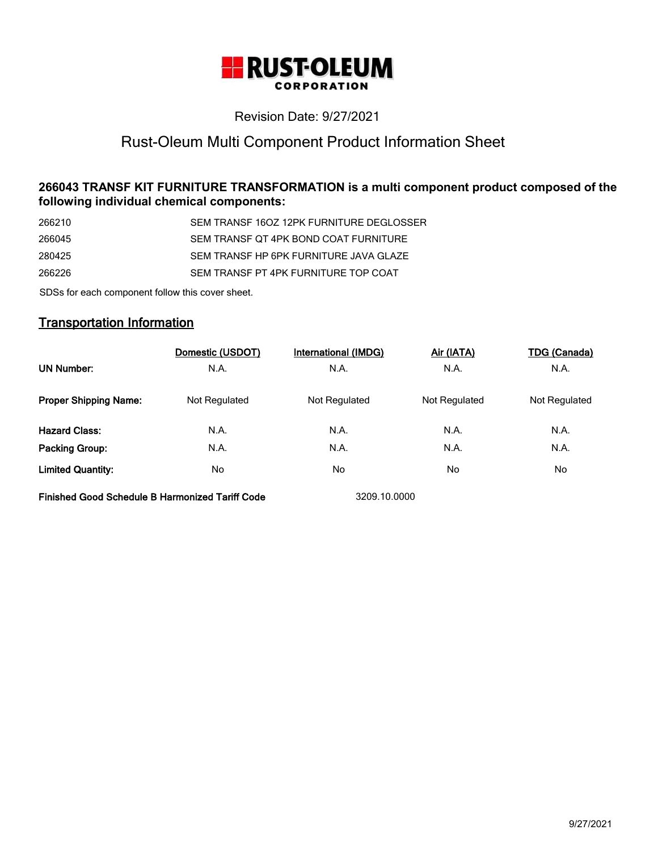

# Revision Date: 9/27/2021

# Rust-Oleum Multi Component Product Information Sheet

# **266043 TRANSF KIT FURNITURE TRANSFORMATION is a multi component product composed of the following individual chemical components:**

| 266210 | SEM TRANSF 16OZ 12PK FURNITURE DEGLOSSER |
|--------|------------------------------------------|
| 266045 | SEM TRANSF OT 4PK BOND COAT FURNITURE    |
| 280425 | SEM TRANSE HP 6PK FURNITURE JAVA GLAZE   |
| 266226 | SEM TRANSE PT 4PK FURNITURE TOP COAT     |
|        |                                          |

SDSs for each component follow this cover sheet.

# **Transportation Information**

|                                                        | Domestic (USDOT) | International (IMDG) | <u>Air (IATA)</u> | <b>TDG (Canada)</b> |
|--------------------------------------------------------|------------------|----------------------|-------------------|---------------------|
| <b>UN Number:</b>                                      | N.A.             | N.A.                 | N.A.              | N.A.                |
| <b>Proper Shipping Name:</b>                           | Not Regulated    | Not Regulated        | Not Regulated     | Not Regulated       |
| <b>Hazard Class:</b>                                   | N.A.             | N.A.                 | N.A.              | N.A.                |
| Packing Group:                                         | N.A.             | N.A.                 | N.A.              | N.A.                |
| <b>Limited Quantity:</b>                               | No.              | No                   | No                | No                  |
| <b>Finished Good Schedule B Harmonized Tariff Code</b> |                  | 3209.10.0000         |                   |                     |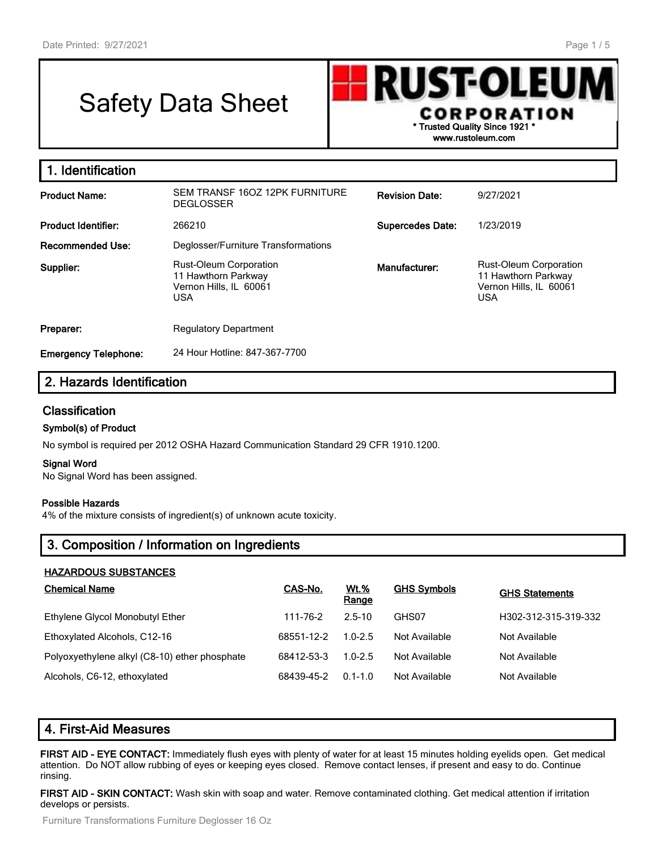# Safety Data Sheet



**1. Identification Product Name:** SEM TRANSF 16OZ 12PK FURNITURE **DEGLOSSER Revision Date:** 9/27/2021 **Product Identifier:** 266210 **Supercedes Date:** 1/23/2019 **Recommended Use:** Deglosser/Furniture Transformations **Supplier:** Rust-Oleum Corporation 11 Hawthorn Parkway Vernon Hills, IL 60061 USA **Manufacturer:** Rust-Oleum Corporation 11 Hawthorn Parkway Vernon Hills, IL 60061 USA **Preparer:** Regulatory Department **Emergency Telephone:** 24 Hour Hotline: 847-367-7700

# **2. Hazards Identification**

#### **Classification**

#### **Symbol(s) of Product**

No symbol is required per 2012 OSHA Hazard Communication Standard 29 CFR 1910.1200.

#### **Signal Word**

No Signal Word has been assigned.

#### **Possible Hazards**

4% of the mixture consists of ingredient(s) of unknown acute toxicity.

# **3. Composition / Information on Ingredients**

#### **HAZARDOUS SUBSTANCES**

| <b>Chemical Name</b>                          | CAS-No.    | <b>Wt.%</b><br>Range | <b>GHS Symbols</b> | <b>GHS Statements</b> |
|-----------------------------------------------|------------|----------------------|--------------------|-----------------------|
| Ethylene Glycol Monobutyl Ether               | 111-76-2   | $2.5 - 10$           | GHS07              | H302-312-315-319-332  |
| Ethoxylated Alcohols, C12-16                  | 68551-12-2 | $1.0 - 2.5$          | Not Available      | Not Available         |
| Polyoxyethylene alkyl (C8-10) ether phosphate | 68412-53-3 | $1.0 - 2.5$          | Not Available      | Not Available         |
| Alcohols, C6-12, ethoxylated                  | 68439-45-2 | $0.1 - 1.0$          | Not Available      | Not Available         |

# **4. First-Aid Measures**

**FIRST AID - EYE CONTACT:** Immediately flush eyes with plenty of water for at least 15 minutes holding eyelids open. Get medical attention. Do NOT allow rubbing of eyes or keeping eyes closed. Remove contact lenses, if present and easy to do. Continue rinsing.

**FIRST AID - SKIN CONTACT:** Wash skin with soap and water. Remove contaminated clothing. Get medical attention if irritation develops or persists.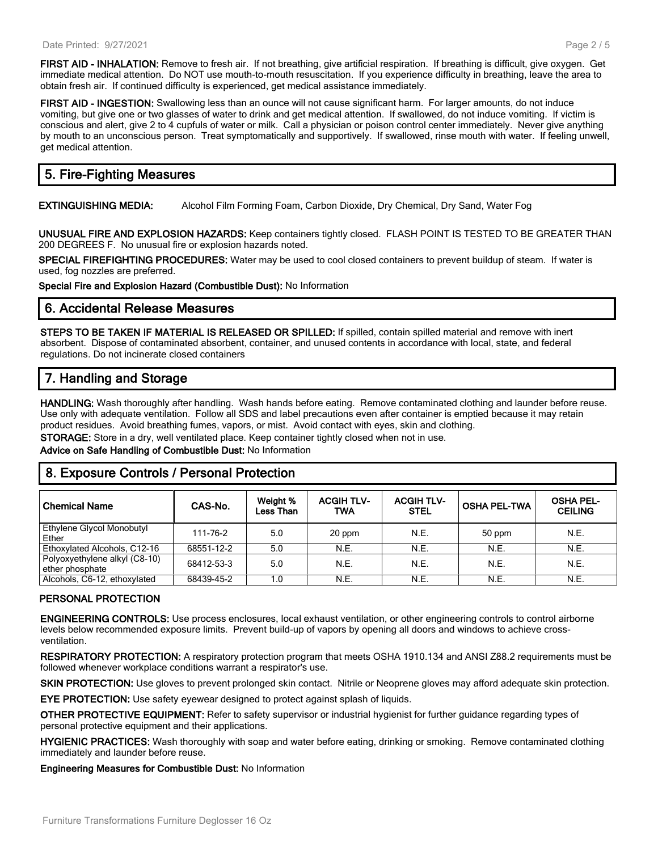**FIRST AID - INHALATION:** Remove to fresh air. If not breathing, give artificial respiration. If breathing is difficult, give oxygen. Get immediate medical attention. Do NOT use mouth-to-mouth resuscitation. If you experience difficulty in breathing, leave the area to obtain fresh air. If continued difficulty is experienced, get medical assistance immediately.

**FIRST AID - INGESTION:** Swallowing less than an ounce will not cause significant harm. For larger amounts, do not induce vomiting, but give one or two glasses of water to drink and get medical attention. If swallowed, do not induce vomiting. If victim is conscious and alert, give 2 to 4 cupfuls of water or milk. Call a physician or poison control center immediately. Never give anything by mouth to an unconscious person. Treat symptomatically and supportively. If swallowed, rinse mouth with water. If feeling unwell, get medical attention.

# **5. Fire-Fighting Measures**

**EXTINGUISHING MEDIA:** Alcohol Film Forming Foam, Carbon Dioxide, Dry Chemical, Dry Sand, Water Fog

**UNUSUAL FIRE AND EXPLOSION HAZARDS:** Keep containers tightly closed. FLASH POINT IS TESTED TO BE GREATER THAN 200 DEGREES F. No unusual fire or explosion hazards noted.

**SPECIAL FIREFIGHTING PROCEDURES:** Water may be used to cool closed containers to prevent buildup of steam. If water is used, fog nozzles are preferred.

**Special Fire and Explosion Hazard (Combustible Dust):** No Information

#### **6. Accidental Release Measures**

**STEPS TO BE TAKEN IF MATERIAL IS RELEASED OR SPILLED:** If spilled, contain spilled material and remove with inert absorbent. Dispose of contaminated absorbent, container, and unused contents in accordance with local, state, and federal regulations. Do not incinerate closed containers

# **7. Handling and Storage**

**HANDLING:** Wash thoroughly after handling. Wash hands before eating. Remove contaminated clothing and launder before reuse. Use only with adequate ventilation. Follow all SDS and label precautions even after container is emptied because it may retain product residues. Avoid breathing fumes, vapors, or mist. Avoid contact with eyes, skin and clothing.

**STORAGE:** Store in a dry, well ventilated place. Keep container tightly closed when not in use.

**Advice on Safe Handling of Combustible Dust:** No Information

### **8. Exposure Controls / Personal Protection**

| <b>Chemical Name</b>                             | CAS-No.    | Weight %<br>Less Than | <b>ACGIH TLV-</b><br><b>TWA</b> | <b>ACGIH TLV-</b><br><b>STEL</b> | <b>OSHA PEL-TWA</b> | <b>OSHA PEL-</b><br><b>CEILING</b> |
|--------------------------------------------------|------------|-----------------------|---------------------------------|----------------------------------|---------------------|------------------------------------|
| Ethylene Glycol Monobutyl<br>Ether               | 111-76-2   | 5.0                   | 20 ppm                          | N.E.                             | 50 ppm              | N.E.                               |
| Ethoxylated Alcohols, C12-16                     | 68551-12-2 | 5.0                   | N.E.                            | N.E.                             | N.E.                | N.E.                               |
| Polyoxyethylene alkyl (C8-10)<br>ether phosphate | 68412-53-3 | 5.0                   | N.E.                            | N.E.                             | N.E.                | N.E.                               |
| Alcohols, C6-12, ethoxylated                     | 68439-45-2 | 1.0                   | N.E.                            | N.E.                             | N.E.                | N.E.                               |

#### **PERSONAL PROTECTION**

**ENGINEERING CONTROLS:** Use process enclosures, local exhaust ventilation, or other engineering controls to control airborne levels below recommended exposure limits. Prevent build-up of vapors by opening all doors and windows to achieve crossventilation.

**RESPIRATORY PROTECTION:** A respiratory protection program that meets OSHA 1910.134 and ANSI Z88.2 requirements must be followed whenever workplace conditions warrant a respirator's use.

**SKIN PROTECTION:** Use gloves to prevent prolonged skin contact. Nitrile or Neoprene gloves may afford adequate skin protection.

**EYE PROTECTION:** Use safety eyewear designed to protect against splash of liquids.

**OTHER PROTECTIVE EQUIPMENT:** Refer to safety supervisor or industrial hygienist for further guidance regarding types of personal protective equipment and their applications.

**HYGIENIC PRACTICES:** Wash thoroughly with soap and water before eating, drinking or smoking. Remove contaminated clothing immediately and launder before reuse.

**Engineering Measures for Combustible Dust:** No Information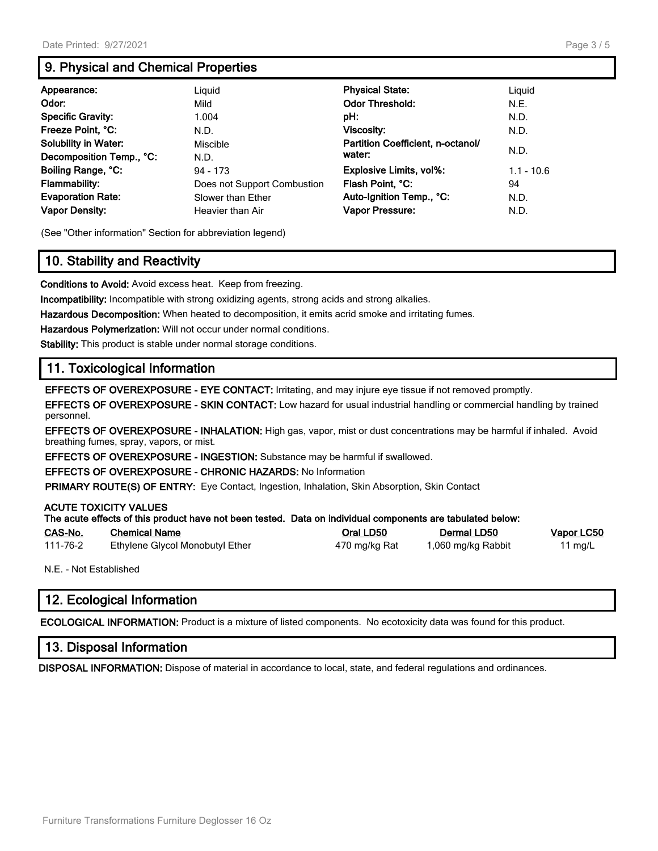# **9. Physical and Chemical Properties**

| Appearance:                 | Liguid                      | <b>Physical State:</b>            | Liguid       |
|-----------------------------|-----------------------------|-----------------------------------|--------------|
| Odor:                       | Mild                        | <b>Odor Threshold:</b>            | N.E.         |
| <b>Specific Gravity:</b>    | 1.004                       | pH:                               | N.D.         |
| Freeze Point, °C:           | N.D.                        | Viscosity:                        | N.D.         |
| <b>Solubility in Water:</b> | Miscible                    | Partition Coefficient, n-octanol/ |              |
| Decomposition Temp., °C:    | N.D.                        | water:                            | N.D.         |
| Boiling Range, °C:          | 94 - 173                    | <b>Explosive Limits, vol%:</b>    | $1.1 - 10.6$ |
| Flammability:               | Does not Support Combustion | Flash Point, °C:                  | 94           |
| <b>Evaporation Rate:</b>    | Slower than Ether           | Auto-Ignition Temp., °C:          | N.D.         |
| <b>Vapor Density:</b>       | Heavier than Air            | Vapor Pressure:                   | N.D.         |

(See "Other information" Section for abbreviation legend)

# **10. Stability and Reactivity**

**Conditions to Avoid:** Avoid excess heat. Keep from freezing.

**Incompatibility:** Incompatible with strong oxidizing agents, strong acids and strong alkalies.

**Hazardous Decomposition:** When heated to decomposition, it emits acrid smoke and irritating fumes.

**Hazardous Polymerization:** Will not occur under normal conditions.

**Stability:** This product is stable under normal storage conditions.

# **11. Toxicological Information**

**EFFECTS OF OVEREXPOSURE - EYE CONTACT:** Irritating, and may injure eye tissue if not removed promptly.

**EFFECTS OF OVEREXPOSURE - SKIN CONTACT:** Low hazard for usual industrial handling or commercial handling by trained personnel.

**EFFECTS OF OVEREXPOSURE - INHALATION:** High gas, vapor, mist or dust concentrations may be harmful if inhaled. Avoid breathing fumes, spray, vapors, or mist.

**EFFECTS OF OVEREXPOSURE - INGESTION:** Substance may be harmful if swallowed.

**EFFECTS OF OVEREXPOSURE - CHRONIC HAZARDS:** No Information

**PRIMARY ROUTE(S) OF ENTRY:** Eye Contact, Ingestion, Inhalation, Skin Absorption, Skin Contact

#### **ACUTE TOXICITY VALUES**

|          | The acute effects of this product have not been tested. Data on individual components are tabulated below: |               |                    |                   |
|----------|------------------------------------------------------------------------------------------------------------|---------------|--------------------|-------------------|
| CAS-No.  | <b>Chemical Name</b>                                                                                       | Oral LD50     | Dermal LD50        | <b>Vapor LC50</b> |
| 111-76-2 | Ethylene Glycol Monobutyl Ether                                                                            | 470 mg/kg Rat | 1,060 mg/kg Rabbit | 11 $mq/L$         |

N.E. - Not Established

# **12. Ecological Information**

**ECOLOGICAL INFORMATION:** Product is a mixture of listed components. No ecotoxicity data was found for this product.

### **13. Disposal Information**

**DISPOSAL INFORMATION:** Dispose of material in accordance to local, state, and federal regulations and ordinances.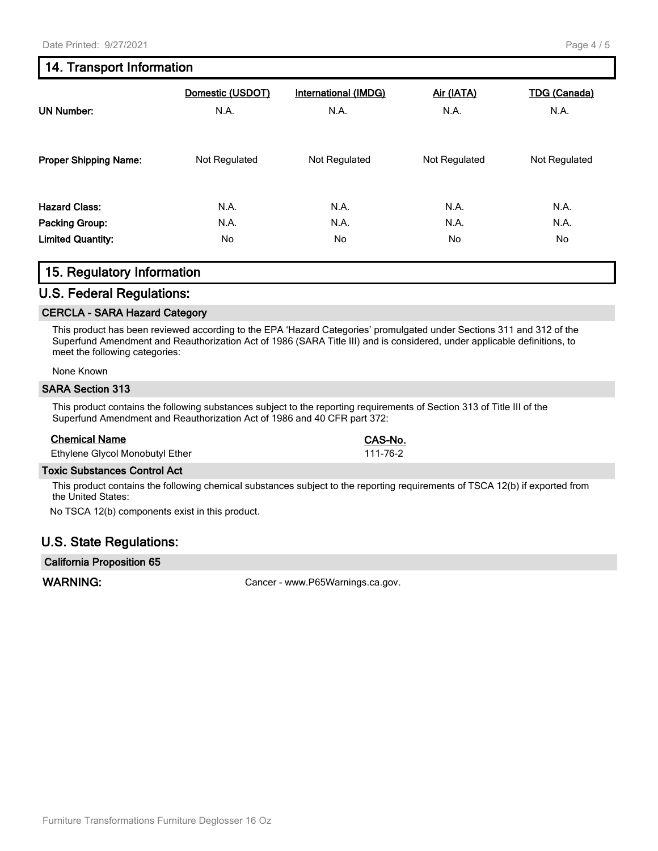# **14. Transport Information**

| <b>UN Number:</b>            | Domestic (USDOT)<br>N.A. | <b>International (IMDG)</b><br>N.A. | Air (IATA)<br>N.A. | <b>TDG (Canada)</b><br>N.A. |
|------------------------------|--------------------------|-------------------------------------|--------------------|-----------------------------|
| <b>Proper Shipping Name:</b> | Not Regulated            | Not Regulated                       | Not Regulated      | Not Regulated               |
| <b>Hazard Class:</b>         | N.A.                     | N.A.                                | N.A.               | N.A.                        |
| Packing Group:               | N.A.                     | N.A.                                | N.A.               | N.A.                        |
| <b>Limited Quantity:</b>     | No.                      | No.                                 | No.                | No.                         |

# **15. Regulatory Information**

#### **U.S. Federal Regulations:**

#### **CERCLA - SARA Hazard Category**

This product has been reviewed according to the EPA 'Hazard Categories' promulgated under Sections 311 and 312 of the Superfund Amendment and Reauthorization Act of 1986 (SARA Title III) and is considered, under applicable definitions, to meet the following categories:

#### None Known

#### **SARA Section 313**

This product contains the following substances subject to the reporting requirements of Section 313 of Title III of the Superfund Amendment and Reauthorization Act of 1986 and 40 CFR part 372:

#### **Chemical Name CAS-No.**

Ethylene Glycol Monobutyl Ether 111-76-2

#### **Toxic Substances Control Act**

This product contains the following chemical substances subject to the reporting requirements of TSCA 12(b) if exported from the United States:

No TSCA 12(b) components exist in this product.

# **U.S. State Regulations:**

#### **California Proposition 65**

WARNING: WARNING: Cancer - www.P65Warnings.ca.gov.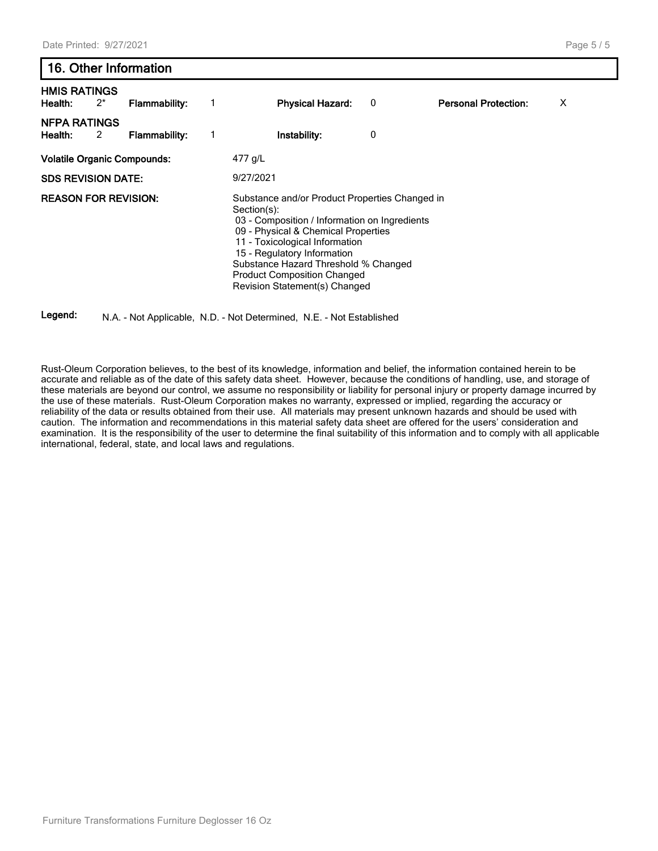# **16. Other Information**

| <b>HMIS RATINGS</b><br>Health:     | $2^*$ | Flammability:        | <b>Physical Hazard:</b>                                                                                                                                                                                                                                                                                                               | 0 | <b>Personal Protection:</b><br>Χ |
|------------------------------------|-------|----------------------|---------------------------------------------------------------------------------------------------------------------------------------------------------------------------------------------------------------------------------------------------------------------------------------------------------------------------------------|---|----------------------------------|
| <b>NFPA RATINGS</b><br>Health:     | 2     | <b>Flammability:</b> | Instability:                                                                                                                                                                                                                                                                                                                          | 0 |                                  |
| <b>Volatile Organic Compounds:</b> |       |                      | 477 g/L                                                                                                                                                                                                                                                                                                                               |   |                                  |
| <b>SDS REVISION DATE:</b>          |       |                      | 9/27/2021                                                                                                                                                                                                                                                                                                                             |   |                                  |
| <b>REASON FOR REVISION:</b>        |       |                      | Substance and/or Product Properties Changed in<br>Section(s):<br>03 - Composition / Information on Ingredients<br>09 - Physical & Chemical Properties<br>11 - Toxicological Information<br>15 - Regulatory Information<br>Substance Hazard Threshold % Changed<br><b>Product Composition Changed</b><br>Revision Statement(s) Changed |   |                                  |

**Legend:** N.A. - Not Applicable, N.D. - Not Determined, N.E. - Not Established

Rust-Oleum Corporation believes, to the best of its knowledge, information and belief, the information contained herein to be accurate and reliable as of the date of this safety data sheet. However, because the conditions of handling, use, and storage of these materials are beyond our control, we assume no responsibility or liability for personal injury or property damage incurred by the use of these materials. Rust-Oleum Corporation makes no warranty, expressed or implied, regarding the accuracy or reliability of the data or results obtained from their use. All materials may present unknown hazards and should be used with caution. The information and recommendations in this material safety data sheet are offered for the users' consideration and examination. It is the responsibility of the user to determine the final suitability of this information and to comply with all applicable international, federal, state, and local laws and regulations.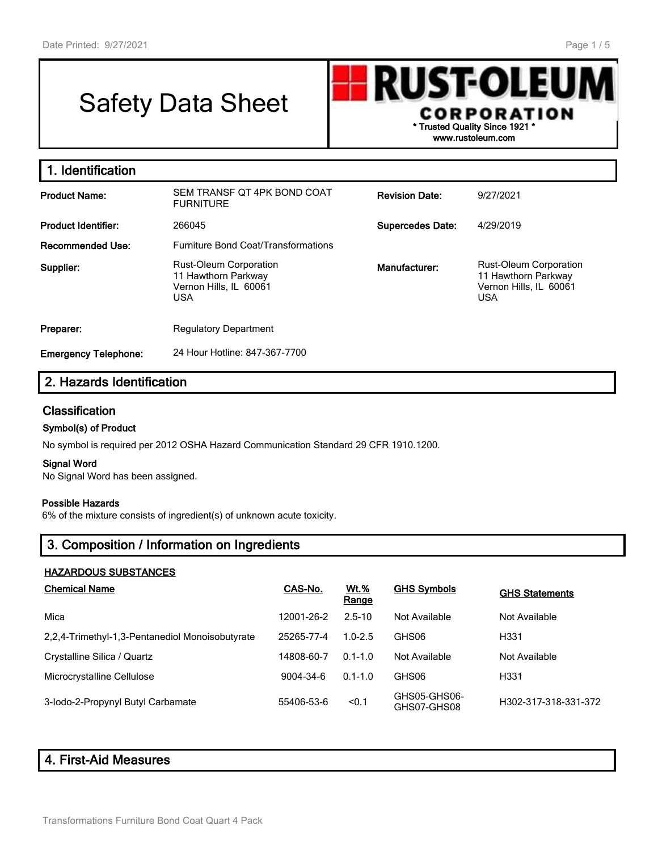# Safety Data Sheet



**www.rustoleum.com**

| 1. Identification           |                                                                                              |                         |                                                                                              |
|-----------------------------|----------------------------------------------------------------------------------------------|-------------------------|----------------------------------------------------------------------------------------------|
| <b>Product Name:</b>        | SEM TRANSF OT 4PK BOND COAT<br><b>FURNITURE</b>                                              | <b>Revision Date:</b>   | 9/27/2021                                                                                    |
| <b>Product Identifier:</b>  | 266045                                                                                       | <b>Supercedes Date:</b> | 4/29/2019                                                                                    |
| <b>Recommended Use:</b>     | <b>Furniture Bond Coat/Transformations</b>                                                   |                         |                                                                                              |
| Supplier:                   | <b>Rust-Oleum Corporation</b><br>11 Hawthorn Parkway<br>Vernon Hills, IL 60061<br><b>USA</b> | Manufacturer:           | <b>Rust-Oleum Corporation</b><br>11 Hawthorn Parkway<br>Vernon Hills, IL 60061<br><b>USA</b> |
| Preparer:                   | <b>Regulatory Department</b>                                                                 |                         |                                                                                              |
| <b>Emergency Telephone:</b> | 24 Hour Hotline: 847-367-7700                                                                |                         |                                                                                              |

# **2. Hazards Identification**

### **Classification**

#### **Symbol(s) of Product**

No symbol is required per 2012 OSHA Hazard Communication Standard 29 CFR 1910.1200.

#### **Signal Word**

No Signal Word has been assigned.

#### **Possible Hazards**

6% of the mixture consists of ingredient(s) of unknown acute toxicity.

# **3. Composition / Information on Ingredients**

#### **HAZARDOUS SUBSTANCES**

| <b>Chemical Name</b>                            | CAS-No.    | <b>Wt.%</b><br>Range | <b>GHS Symbols</b>          | <b>GHS Statements</b> |
|-------------------------------------------------|------------|----------------------|-----------------------------|-----------------------|
| Mica                                            | 12001-26-2 | $2.5 - 10$           | Not Available               | Not Available         |
| 2.2.4-Trimethyl-1.3-Pentanediol Monoisobutyrate | 25265-77-4 | $1.0 - 2.5$          | GHS06                       | H331                  |
| Crystalline Silica / Quartz                     | 14808-60-7 | $0.1 - 1.0$          | Not Available               | Not Available         |
| Microcrystalline Cellulose                      | 9004-34-6  | $0.1 - 1.0$          | GHS06                       | H331                  |
| 3-lodo-2-Propynyl Butyl Carbamate               | 55406-53-6 | < 0.1                | GHS05-GHS06-<br>GHS07-GHS08 | H302-317-318-331-372  |

# **4. First-Aid Measures**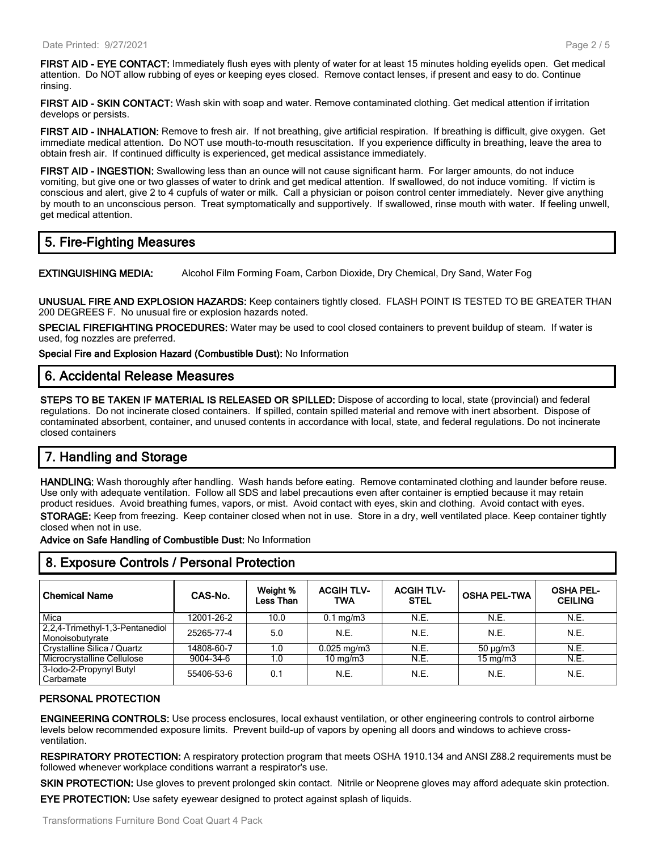**FIRST AID - EYE CONTACT:** Immediately flush eyes with plenty of water for at least 15 minutes holding eyelids open. Get medical attention. Do NOT allow rubbing of eyes or keeping eyes closed. Remove contact lenses, if present and easy to do. Continue rinsing.

**FIRST AID - SKIN CONTACT:** Wash skin with soap and water. Remove contaminated clothing. Get medical attention if irritation develops or persists.

**FIRST AID - INHALATION:** Remove to fresh air. If not breathing, give artificial respiration. If breathing is difficult, give oxygen. Get immediate medical attention. Do NOT use mouth-to-mouth resuscitation. If you experience difficulty in breathing, leave the area to obtain fresh air. If continued difficulty is experienced, get medical assistance immediately.

**FIRST AID - INGESTION:** Swallowing less than an ounce will not cause significant harm. For larger amounts, do not induce vomiting, but give one or two glasses of water to drink and get medical attention. If swallowed, do not induce vomiting. If victim is conscious and alert, give 2 to 4 cupfuls of water or milk. Call a physician or poison control center immediately. Never give anything by mouth to an unconscious person. Treat symptomatically and supportively. If swallowed, rinse mouth with water. If feeling unwell, get medical attention.

# **5. Fire-Fighting Measures**

**EXTINGUISHING MEDIA:** Alcohol Film Forming Foam, Carbon Dioxide, Dry Chemical, Dry Sand, Water Fog

**UNUSUAL FIRE AND EXPLOSION HAZARDS:** Keep containers tightly closed. FLASH POINT IS TESTED TO BE GREATER THAN 200 DEGREES F. No unusual fire or explosion hazards noted.

**SPECIAL FIREFIGHTING PROCEDURES:** Water may be used to cool closed containers to prevent buildup of steam. If water is used, fog nozzles are preferred.

**Special Fire and Explosion Hazard (Combustible Dust):** No Information

#### **6. Accidental Release Measures**

**STEPS TO BE TAKEN IF MATERIAL IS RELEASED OR SPILLED:** Dispose of according to local, state (provincial) and federal regulations. Do not incinerate closed containers. If spilled, contain spilled material and remove with inert absorbent. Dispose of contaminated absorbent, container, and unused contents in accordance with local, state, and federal regulations. Do not incinerate closed containers

# **7. Handling and Storage**

**HANDLING:** Wash thoroughly after handling. Wash hands before eating. Remove contaminated clothing and launder before reuse. Use only with adequate ventilation. Follow all SDS and label precautions even after container is emptied because it may retain product residues. Avoid breathing fumes, vapors, or mist. Avoid contact with eyes, skin and clothing. Avoid contact with eyes. **STORAGE:** Keep from freezing. Keep container closed when not in use. Store in a dry, well ventilated place. Keep container tightly closed when not in use.

**Advice on Safe Handling of Combustible Dust:** No Information

| <b>Chemical Name</b>                               | CAS-No.    | Weight %<br>Less Than | <b>ACGIH TLV-</b><br>TWA | <b>ACGIH TLV-</b><br><b>STEL</b> | <b>OSHA PEL-TWA</b> | <b>OSHA PEL-</b><br><b>CEILING</b> |
|----------------------------------------------------|------------|-----------------------|--------------------------|----------------------------------|---------------------|------------------------------------|
| Mica                                               | 12001-26-2 | 10.0                  | $0.1 \text{ mg/m}$       | N.E.                             | N.E.                | N.E.                               |
| 2,2,4-Trimethyl-1,3-Pentanediol<br>Monoisobutyrate | 25265-77-4 | 5.0                   | N.E.                     | N.E.                             | N.E.                | N.E.                               |
| Crystalline Silica / Quartz                        | 14808-60-7 | 1.0                   | $0.025 \,\mathrm{mg/m}$  | N.E.                             | $50 \mu q/m3$       | N.E.                               |
| Microcrystalline Cellulose                         | 9004-34-6  | 1.0                   | $10 \text{ mg/m}$        | N.E.                             | $15 \text{ mg/m}$   | N.E.                               |
| 3-lodo-2-Propynyl Butyl<br>Carbamate               | 55406-53-6 | 0.1                   | N.E.                     | N.E.                             | N.E.                | N.E.                               |

# **8. Exposure Controls / Personal Protection**

#### **PERSONAL PROTECTION**

**ENGINEERING CONTROLS:** Use process enclosures, local exhaust ventilation, or other engineering controls to control airborne levels below recommended exposure limits. Prevent build-up of vapors by opening all doors and windows to achieve crossventilation.

**RESPIRATORY PROTECTION:** A respiratory protection program that meets OSHA 1910.134 and ANSI Z88.2 requirements must be followed whenever workplace conditions warrant a respirator's use.

**SKIN PROTECTION:** Use gloves to prevent prolonged skin contact. Nitrile or Neoprene gloves may afford adequate skin protection. **EYE PROTECTION:** Use safety eyewear designed to protect against splash of liquids.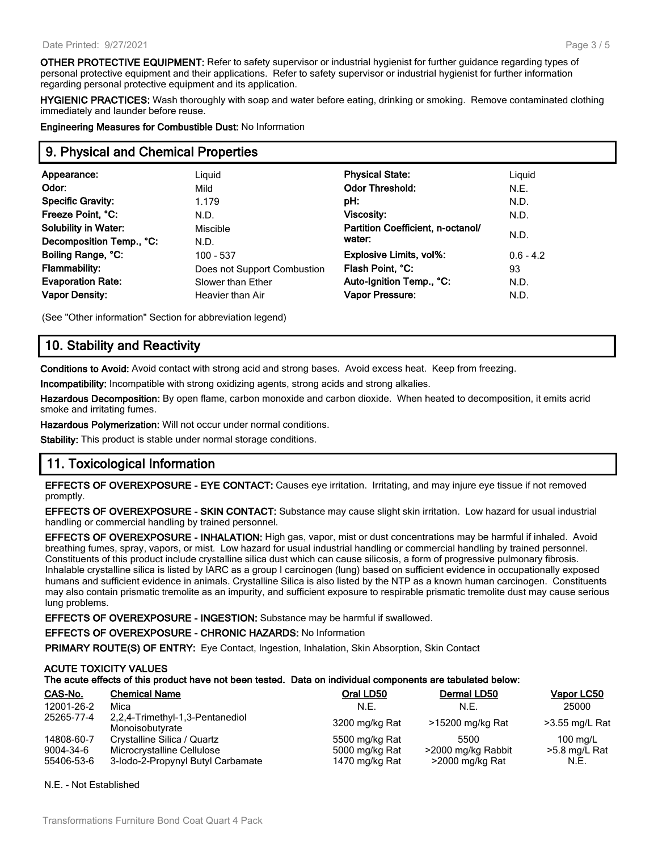**OTHER PROTECTIVE EQUIPMENT:** Refer to safety supervisor or industrial hygienist for further guidance regarding types of personal protective equipment and their applications. Refer to safety supervisor or industrial hygienist for further information regarding personal protective equipment and its application.

**HYGIENIC PRACTICES:** Wash thoroughly with soap and water before eating, drinking or smoking. Remove contaminated clothing immediately and launder before reuse.

**Engineering Measures for Combustible Dust:** No Information

#### **9. Physical and Chemical Properties**

| Appearance:                                                                                                          | Liguid                                                                                      | <b>Physical State:</b>                                                                                      | Liquid                            |
|----------------------------------------------------------------------------------------------------------------------|---------------------------------------------------------------------------------------------|-------------------------------------------------------------------------------------------------------------|-----------------------------------|
| Odor:                                                                                                                | Mild                                                                                        | <b>Odor Threshold:</b>                                                                                      | N.E.                              |
| <b>Specific Gravity:</b>                                                                                             | 1.179                                                                                       | pH:                                                                                                         | N.D.                              |
| Freeze Point, °C:                                                                                                    | N.D.                                                                                        | <b>Viscosity:</b>                                                                                           | N.D.                              |
| <b>Solubility in Water:</b>                                                                                          | Miscible                                                                                    | Partition Coefficient, n-octanol/                                                                           | N.D.                              |
| Decomposition Temp., °C:<br>Boiling Range, °C:<br><b>Flammability:</b><br><b>Evaporation Rate:</b><br>Vapor Density: | N.D.<br>$100 - 537$<br>Does not Support Combustion<br>Slower than Ether<br>Heavier than Air | water:<br><b>Explosive Limits, vol%:</b><br>Flash Point, °C:<br>Auto-Ignition Temp., °C:<br>Vapor Pressure: | $0.6 - 4.2$<br>93<br>N.D.<br>N.D. |

(See "Other information" Section for abbreviation legend)

# **10. Stability and Reactivity**

**Conditions to Avoid:** Avoid contact with strong acid and strong bases. Avoid excess heat. Keep from freezing.

**Incompatibility:** Incompatible with strong oxidizing agents, strong acids and strong alkalies.

**Hazardous Decomposition:** By open flame, carbon monoxide and carbon dioxide. When heated to decomposition, it emits acrid smoke and irritating fumes.

**Hazardous Polymerization:** Will not occur under normal conditions.

**Stability:** This product is stable under normal storage conditions.

# **11. Toxicological Information**

**EFFECTS OF OVEREXPOSURE - EYE CONTACT:** Causes eye irritation. Irritating, and may injure eye tissue if not removed promptly.

**EFFECTS OF OVEREXPOSURE - SKIN CONTACT:** Substance may cause slight skin irritation. Low hazard for usual industrial handling or commercial handling by trained personnel.

**EFFECTS OF OVEREXPOSURE - INHALATION:** High gas, vapor, mist or dust concentrations may be harmful if inhaled. Avoid breathing fumes, spray, vapors, or mist. Low hazard for usual industrial handling or commercial handling by trained personnel. Constituents of this product include crystalline silica dust which can cause silicosis, a form of progressive pulmonary fibrosis. Inhalable crystalline silica is listed by IARC as a group I carcinogen (lung) based on sufficient evidence in occupationally exposed humans and sufficient evidence in animals. Crystalline Silica is also listed by the NTP as a known human carcinogen. Constituents may also contain prismatic tremolite as an impurity, and sufficient exposure to respirable prismatic tremolite dust may cause serious lung problems.

**EFFECTS OF OVEREXPOSURE - INGESTION:** Substance may be harmful if swallowed.

**EFFECTS OF OVEREXPOSURE - CHRONIC HAZARDS:** No Information

**PRIMARY ROUTE(S) OF ENTRY:** Eye Contact, Ingestion, Inhalation, Skin Absorption, Skin Contact

#### **ACUTE TOXICITY VALUES**

#### **The acute effects of this product have not been tested. Data on individual components are tabulated below:**

| CAS-No.    | <b>Chemical Name</b>                               | Oral LD50      | Dermal LD50        | Vapor LC50         |
|------------|----------------------------------------------------|----------------|--------------------|--------------------|
| 12001-26-2 | Mica                                               | N.E.           | N.E.               | 25000              |
| 25265-77-4 | 2,2,4-Trimethyl-1,3-Pentanediol<br>Monoisobutvrate | 3200 mg/kg Rat | >15200 mg/kg Rat   | >3.55 mg/L Rat     |
| 14808-60-7 | Crystalline Silica / Quartz                        | 5500 mg/kg Rat | 5500               | $100 \text{ mg/L}$ |
| 9004-34-6  | Microcrystalline Cellulose                         | 5000 mg/kg Rat | >2000 mg/kg Rabbit | >5.8 mg/L Rat      |
| 55406-53-6 | 3-lodo-2-Propynyl Butyl Carbamate                  | 1470 mg/kg Rat | >2000 mg/kg Rat    | N.E.               |

N.E. - Not Established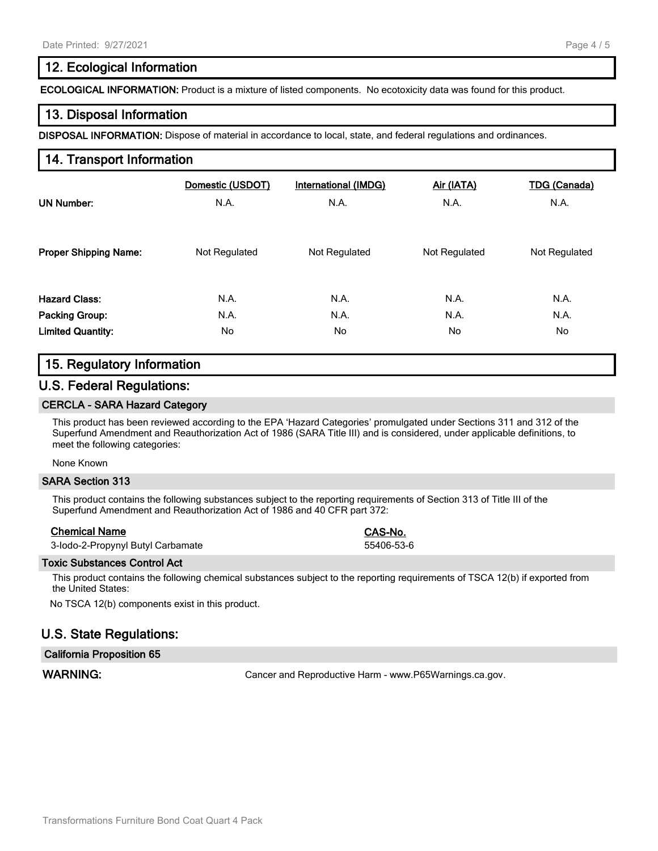## **12. Ecological Information**

**ECOLOGICAL INFORMATION:** Product is a mixture of listed components. No ecotoxicity data was found for this product.

#### **13. Disposal Information**

**DISPOSAL INFORMATION:** Dispose of material in accordance to local, state, and federal regulations and ordinances.

### **14. Transport Information**

| UN Number:                   | Domestic (USDOT) | International (IMDG) | Air (IATA)    | <b>TDG (Canada)</b> |
|------------------------------|------------------|----------------------|---------------|---------------------|
|                              | N.A.             | N.A.                 | N.A.          | N.A.                |
| <b>Proper Shipping Name:</b> | Not Regulated    | Not Regulated        | Not Regulated | Not Regulated       |
| <b>Hazard Class:</b>         | N.A.             | N.A.                 | N.A.          | N.A.                |
| <b>Packing Group:</b>        | N.A.             | N.A.                 | N.A.          | N.A.                |
| <b>Limited Quantity:</b>     | No               | No.                  | No            | No                  |

### **15. Regulatory Information**

#### **U.S. Federal Regulations:**

#### **CERCLA - SARA Hazard Category**

This product has been reviewed according to the EPA 'Hazard Categories' promulgated under Sections 311 and 312 of the Superfund Amendment and Reauthorization Act of 1986 (SARA Title III) and is considered, under applicable definitions, to meet the following categories:

None Known

#### **SARA Section 313**

This product contains the following substances subject to the reporting requirements of Section 313 of Title III of the Superfund Amendment and Reauthorization Act of 1986 and 40 CFR part 372:

#### **Chemical Name CAS-No.**

| 3-lodo-2-Propynyl Butyl Carbamate |  |
|-----------------------------------|--|
|-----------------------------------|--|

55406-53-6

#### **Toxic Substances Control Act**

This product contains the following chemical substances subject to the reporting requirements of TSCA 12(b) if exported from the United States:

No TSCA 12(b) components exist in this product.

### **U.S. State Regulations:**

#### **California Proposition 65**

**WARNING:** Cancer and Reproductive Harm - www.P65Warnings.ca.gov.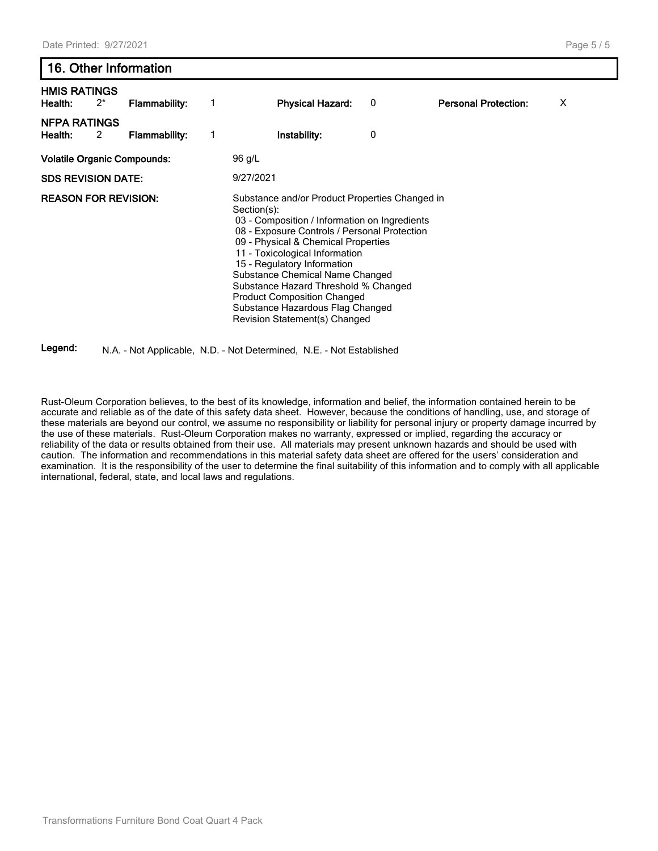# **16. Other Information HMIS RATINGS Health:** 2\* **Flammability:** 1 **Physical Hazard:** 0 **Personal Protection:** X **NFPA RATINGS Health:** 2 **Flammability:** 1 **Instability:** 0 **Volatile Organic Compounds:** 96 g/L

**SDS REVISION DATE:** 9/27/2021

**REASON FOR REVISION:** Substance and/or Product Properties Changed in

Section(s): 03 - Composition / Information on Ingredients 08 - Exposure Controls / Personal Protection 09 - Physical & Chemical Properties 11 - Toxicological Information 15 - Regulatory Information Substance Chemical Name Changed Substance Hazard Threshold % Changed Product Composition Changed Substance Hazardous Flag Changed Revision Statement(s) Changed

#### **Legend:** N.A. - Not Applicable, N.D. - Not Determined, N.E. - Not Established

Rust-Oleum Corporation believes, to the best of its knowledge, information and belief, the information contained herein to be accurate and reliable as of the date of this safety data sheet. However, because the conditions of handling, use, and storage of these materials are beyond our control, we assume no responsibility or liability for personal injury or property damage incurred by the use of these materials. Rust-Oleum Corporation makes no warranty, expressed or implied, regarding the accuracy or reliability of the data or results obtained from their use. All materials may present unknown hazards and should be used with caution. The information and recommendations in this material safety data sheet are offered for the users' consideration and examination. It is the responsibility of the user to determine the final suitability of this information and to comply with all applicable international, federal, state, and local laws and regulations.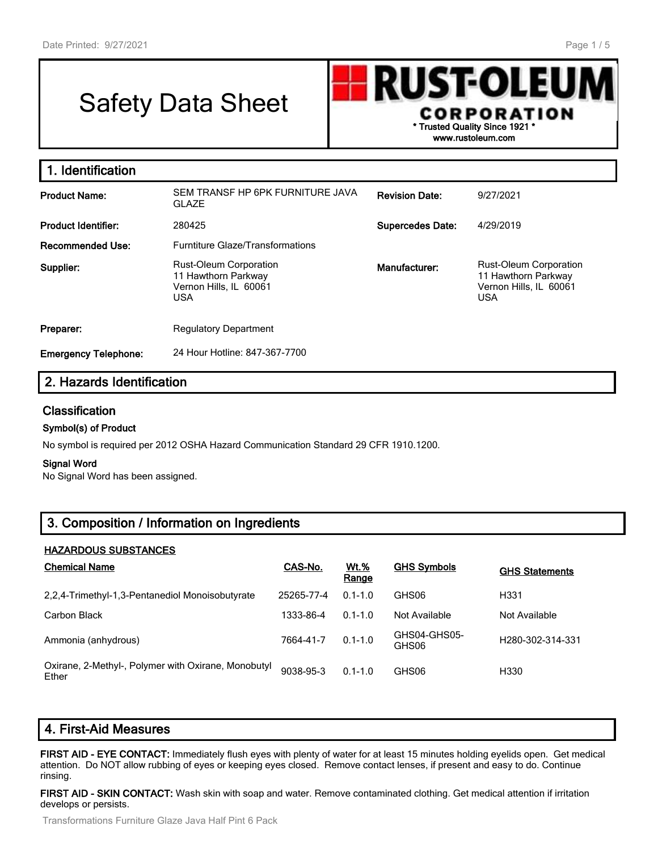# Safety Data Sheet



| 1. Identification           |                                                                                              |                         |                                                                                              |
|-----------------------------|----------------------------------------------------------------------------------------------|-------------------------|----------------------------------------------------------------------------------------------|
| <b>Product Name:</b>        | SEM TRANSF HP 6PK FURNITURE JAVA<br><b>GLAZE</b>                                             | <b>Revision Date:</b>   | 9/27/2021                                                                                    |
| <b>Product Identifier:</b>  | 280425                                                                                       | <b>Supercedes Date:</b> | 4/29/2019                                                                                    |
| Recommended Use:            | <b>Furntiture Glaze/Transformations</b>                                                      |                         |                                                                                              |
| Supplier:                   | <b>Rust-Oleum Corporation</b><br>11 Hawthorn Parkway<br>Vernon Hills, IL 60061<br><b>USA</b> | Manufacturer:           | <b>Rust-Oleum Corporation</b><br>11 Hawthorn Parkway<br>Vernon Hills, IL 60061<br><b>USA</b> |
| Preparer:                   | <b>Regulatory Department</b>                                                                 |                         |                                                                                              |
| <b>Emergency Telephone:</b> | 24 Hour Hotline: 847-367-7700                                                                |                         |                                                                                              |

# **2. Hazards Identification**

#### **Classification**

#### **Symbol(s) of Product**

No symbol is required per 2012 OSHA Hazard Communication Standard 29 CFR 1910.1200.

#### **Signal Word**

No Signal Word has been assigned.

# **3. Composition / Information on Ingredients**

#### **HAZARDOUS SUBSTANCES**

| <b>Chemical Name</b>                                         | CAS-No.    | <b>Wt.%</b><br>Range | <b>GHS Symbols</b>    | <b>GHS Statements</b>         |
|--------------------------------------------------------------|------------|----------------------|-----------------------|-------------------------------|
| 2.2.4-Trimethyl-1.3-Pentanediol Monoisobutyrate              | 25265-77-4 | $0.1 - 1.0$          | GHS06                 | H331                          |
| Carbon Black                                                 | 1333-86-4  | $0.1 - 1.0$          | Not Available         | Not Available                 |
| Ammonia (anhydrous)                                          | 7664-41-7  | $0.1 - 1.0$          | GHS04-GHS05-<br>GHS06 | H <sub>280</sub> -302-314-331 |
| Oxirane, 2-Methyl-, Polymer with Oxirane, Monobutyl<br>Ether | 9038-95-3  | $0.1 - 1.0$          | GHS06                 | H330                          |

# **4. First-Aid Measures**

**FIRST AID - EYE CONTACT:** Immediately flush eyes with plenty of water for at least 15 minutes holding eyelids open. Get medical attention. Do NOT allow rubbing of eyes or keeping eyes closed. Remove contact lenses, if present and easy to do. Continue rinsing.

**FIRST AID - SKIN CONTACT:** Wash skin with soap and water. Remove contaminated clothing. Get medical attention if irritation develops or persists.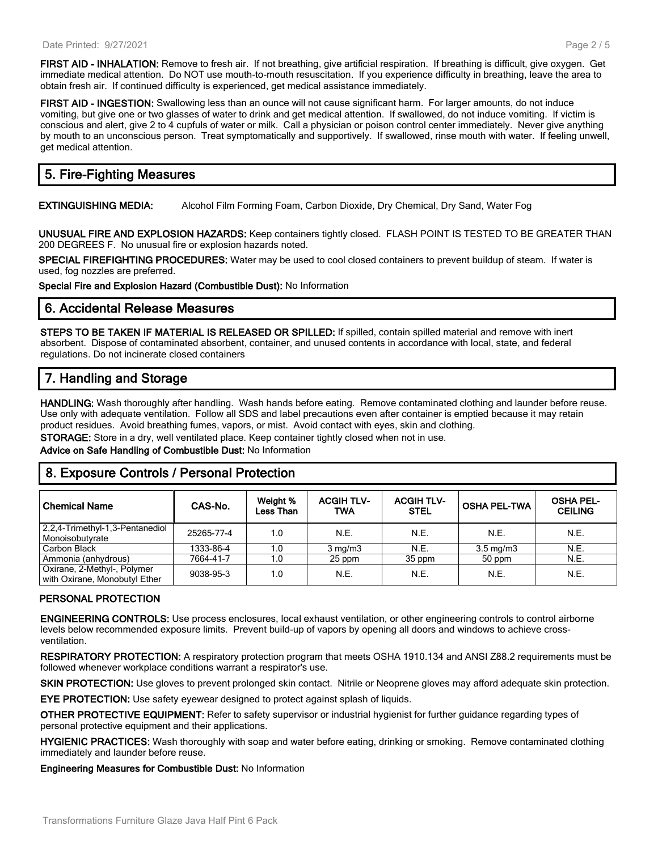**FIRST AID - INHALATION:** Remove to fresh air. If not breathing, give artificial respiration. If breathing is difficult, give oxygen. Get immediate medical attention. Do NOT use mouth-to-mouth resuscitation. If you experience difficulty in breathing, leave the area to obtain fresh air. If continued difficulty is experienced, get medical assistance immediately.

**FIRST AID - INGESTION:** Swallowing less than an ounce will not cause significant harm. For larger amounts, do not induce vomiting, but give one or two glasses of water to drink and get medical attention. If swallowed, do not induce vomiting. If victim is conscious and alert, give 2 to 4 cupfuls of water or milk. Call a physician or poison control center immediately. Never give anything by mouth to an unconscious person. Treat symptomatically and supportively. If swallowed, rinse mouth with water. If feeling unwell, get medical attention.

# **5. Fire-Fighting Measures**

**EXTINGUISHING MEDIA:** Alcohol Film Forming Foam, Carbon Dioxide, Dry Chemical, Dry Sand, Water Fog

**UNUSUAL FIRE AND EXPLOSION HAZARDS:** Keep containers tightly closed. FLASH POINT IS TESTED TO BE GREATER THAN 200 DEGREES F. No unusual fire or explosion hazards noted.

**SPECIAL FIREFIGHTING PROCEDURES:** Water may be used to cool closed containers to prevent buildup of steam. If water is used, fog nozzles are preferred.

**Special Fire and Explosion Hazard (Combustible Dust):** No Information

#### **6. Accidental Release Measures**

**STEPS TO BE TAKEN IF MATERIAL IS RELEASED OR SPILLED:** If spilled, contain spilled material and remove with inert absorbent. Dispose of contaminated absorbent, container, and unused contents in accordance with local, state, and federal regulations. Do not incinerate closed containers

# **7. Handling and Storage**

**HANDLING:** Wash thoroughly after handling. Wash hands before eating. Remove contaminated clothing and launder before reuse. Use only with adequate ventilation. Follow all SDS and label precautions even after container is emptied because it may retain product residues. Avoid breathing fumes, vapors, or mist. Avoid contact with eyes, skin and clothing.

**STORAGE:** Store in a dry, well ventilated place. Keep container tightly closed when not in use.

**Advice on Safe Handling of Combustible Dust:** No Information

### **8. Exposure Controls / Personal Protection**

| <b>Chemical Name</b>                                         | CAS-No.    | Weight %<br><b>Less Than</b> | <b>ACGIH TLV-</b><br><b>TWA</b> | <b>ACGIH TLV-</b><br><b>STEL</b> | <b>OSHA PEL-TWA</b> | <b>OSHA PEL-</b><br><b>CEILING</b> |
|--------------------------------------------------------------|------------|------------------------------|---------------------------------|----------------------------------|---------------------|------------------------------------|
| 2,2,4-Trimethyl-1,3-Pentanediol<br>Monoisobutyrate           | 25265-77-4 | 1.0                          | N.E.                            | N.E.                             | N.E.                | N.E.                               |
| Carbon Black                                                 | 1333-86-4  | 1.0                          | $3 \text{ mg/m}$                | N.E.                             | $3.5 \text{ mg/m}$  | N.E.                               |
| Ammonia (anhydrous)                                          | 7664-41-7  | 1.0                          | 25 ppm                          | 35 ppm                           | 50 ppm              | N.E.                               |
| Oxirane, 2-Methyl-, Polymer<br>with Oxirane, Monobutyl Ether | 9038-95-3  | 1.0                          | N.E.                            | N.E.                             | N.E.                | N.E.                               |

#### **PERSONAL PROTECTION**

**ENGINEERING CONTROLS:** Use process enclosures, local exhaust ventilation, or other engineering controls to control airborne levels below recommended exposure limits. Prevent build-up of vapors by opening all doors and windows to achieve crossventilation.

**RESPIRATORY PROTECTION:** A respiratory protection program that meets OSHA 1910.134 and ANSI Z88.2 requirements must be followed whenever workplace conditions warrant a respirator's use.

**SKIN PROTECTION:** Use gloves to prevent prolonged skin contact. Nitrile or Neoprene gloves may afford adequate skin protection.

**EYE PROTECTION:** Use safety eyewear designed to protect against splash of liquids.

**OTHER PROTECTIVE EQUIPMENT:** Refer to safety supervisor or industrial hygienist for further guidance regarding types of personal protective equipment and their applications.

**HYGIENIC PRACTICES:** Wash thoroughly with soap and water before eating, drinking or smoking. Remove contaminated clothing immediately and launder before reuse.

**Engineering Measures for Combustible Dust:** No Information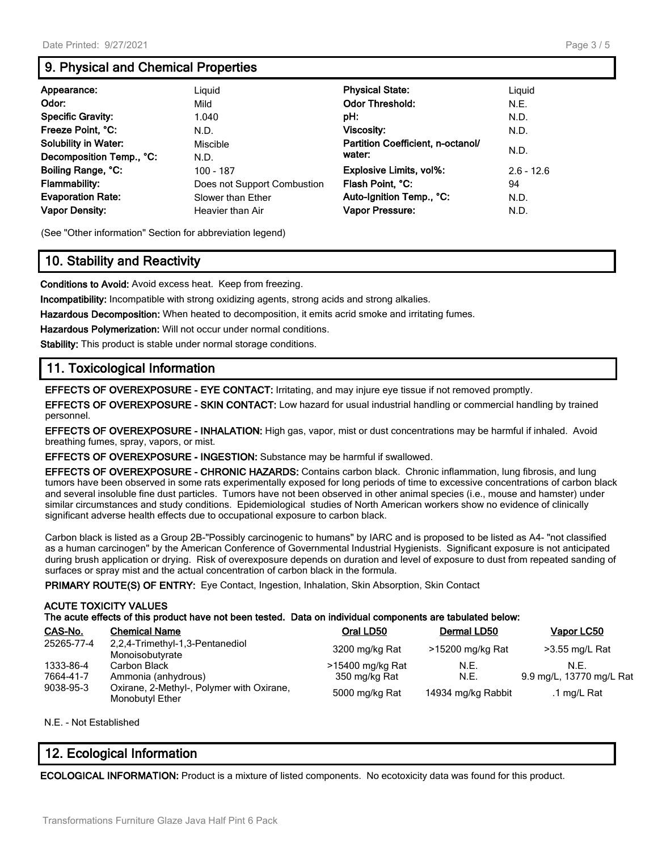# **9. Physical and Chemical Properties**

| Appearance:                 | Liguid                      | <b>Physical State:</b>            | Liguid       |
|-----------------------------|-----------------------------|-----------------------------------|--------------|
| Odor:                       | Mild                        | <b>Odor Threshold:</b>            | N.E.         |
| <b>Specific Gravity:</b>    | 1.040                       | pH:                               | N.D.         |
| Freeze Point, °C:           | N.D.                        | Viscosity:                        | N.D.         |
| <b>Solubility in Water:</b> | Miscible                    | Partition Coefficient, n-octanol/ |              |
| Decomposition Temp., °C:    | N.D.                        | water:                            | N.D.         |
| Boiling Range, °C:          | $100 - 187$                 | <b>Explosive Limits, vol%:</b>    | $2.6 - 12.6$ |
| <b>Flammability:</b>        | Does not Support Combustion | Flash Point, °C:                  | 94           |
| <b>Evaporation Rate:</b>    | Slower than Ether           | Auto-Ignition Temp., °C:          | N.D.         |
| <b>Vapor Density:</b>       | Heavier than Air            | Vapor Pressure:                   | N.D.         |

(See "Other information" Section for abbreviation legend)

# **10. Stability and Reactivity**

**Conditions to Avoid:** Avoid excess heat. Keep from freezing.

**Incompatibility:** Incompatible with strong oxidizing agents, strong acids and strong alkalies.

**Hazardous Decomposition:** When heated to decomposition, it emits acrid smoke and irritating fumes.

**Hazardous Polymerization:** Will not occur under normal conditions.

**Stability:** This product is stable under normal storage conditions.

# **11. Toxicological Information**

**EFFECTS OF OVEREXPOSURE - EYE CONTACT:** Irritating, and may injure eye tissue if not removed promptly.

**EFFECTS OF OVEREXPOSURE - SKIN CONTACT:** Low hazard for usual industrial handling or commercial handling by trained personnel.

**EFFECTS OF OVEREXPOSURE - INHALATION:** High gas, vapor, mist or dust concentrations may be harmful if inhaled. Avoid breathing fumes, spray, vapors, or mist.

**EFFECTS OF OVEREXPOSURE - INGESTION:** Substance may be harmful if swallowed.

**EFFECTS OF OVEREXPOSURE - CHRONIC HAZARDS:** Contains carbon black. Chronic inflammation, lung fibrosis, and lung tumors have been observed in some rats experimentally exposed for long periods of time to excessive concentrations of carbon black and several insoluble fine dust particles. Tumors have not been observed in other animal species (i.e., mouse and hamster) under similar circumstances and study conditions. Epidemiological studies of North American workers show no evidence of clinically significant adverse health effects due to occupational exposure to carbon black.

Carbon black is listed as a Group 2B-"Possibly carcinogenic to humans" by IARC and is proposed to be listed as A4- "not classified as a human carcinogen" by the American Conference of Governmental Industrial Hygienists. Significant exposure is not anticipated during brush application or drying. Risk of overexposure depends on duration and level of exposure to dust from repeated sanding of surfaces or spray mist and the actual concentration of carbon black in the formula.

**PRIMARY ROUTE(S) OF ENTRY:** Eye Contact, Ingestion, Inhalation, Skin Absorption, Skin Contact

#### **ACUTE TOXICITY VALUES The acute effects of this product have not been tested. Data on individual components are tabulated below:**

| CAS-No.                | <b>Chemical Name</b>                                             | Oral LD50        | Dermal LD50        | Vapor LC50               |
|------------------------|------------------------------------------------------------------|------------------|--------------------|--------------------------|
| 25265-77-4             | 2,2,4-Trimethyl-1,3-Pentanediol<br>Monoisobutyrate               | 3200 mg/kg Rat   | >15200 mg/kg Rat   | >3.55 mg/L Rat           |
| 1333-86-4              | Carbon Black                                                     | >15400 mg/kg Rat | N.E.               | N.E.                     |
| 7664-41-7<br>9038-95-3 | Ammonia (anhydrous)<br>Oxirane, 2-Methyl-, Polymer with Oxirane, | 350 mg/kg Rat    | N.E.               | 9.9 mg/L, 13770 mg/L Rat |
|                        | Monobutyl Ether                                                  | 5000 mg/kg Rat   | 14934 mg/kg Rabbit | .1 mg/L Rat              |

N.E. - Not Established

# **12. Ecological Information**

**ECOLOGICAL INFORMATION:** Product is a mixture of listed components. No ecotoxicity data was found for this product.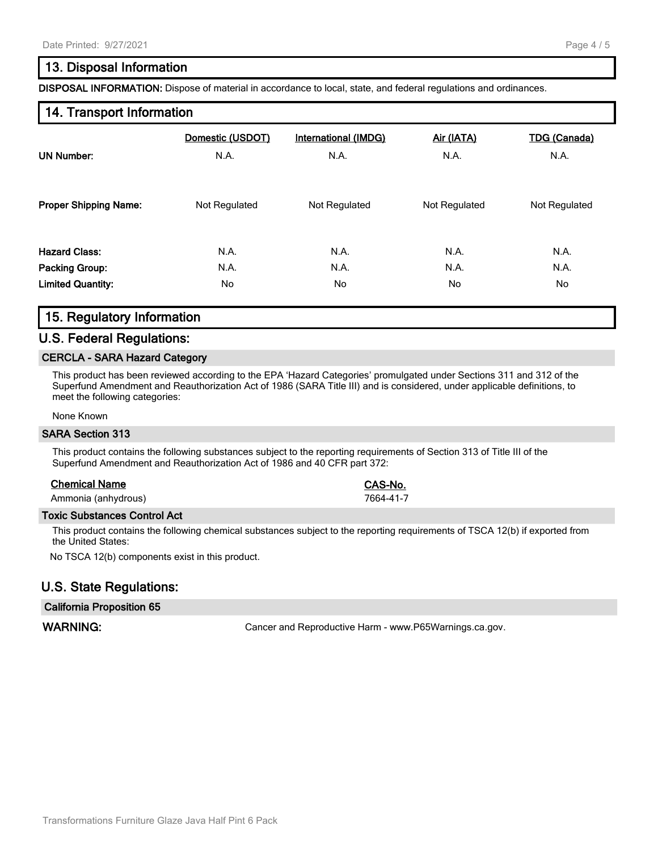# **13. Disposal Information**

**DISPOSAL INFORMATION:** Dispose of material in accordance to local, state, and federal regulations and ordinances.

#### **14. Transport Information**

| <b>UN Number:</b>            | Domestic (USDOT) | International (IMDG) | Air (IATA)    | <b>TDG (Canada)</b> |
|------------------------------|------------------|----------------------|---------------|---------------------|
|                              | N.A.             | N.A.                 | N.A.          | N.A.                |
| <b>Proper Shipping Name:</b> | Not Regulated    | Not Regulated        | Not Regulated | Not Regulated       |
| <b>Hazard Class:</b>         | N.A.             | N.A.                 | N.A.          | N.A.                |
| <b>Packing Group:</b>        | N.A.             | N.A.                 | N.A.          | N.A.                |
| <b>Limited Quantity:</b>     | No.              | No.                  | No.           | No.                 |

# **15. Regulatory Information**

#### **U.S. Federal Regulations:**

#### **CERCLA - SARA Hazard Category**

This product has been reviewed according to the EPA 'Hazard Categories' promulgated under Sections 311 and 312 of the Superfund Amendment and Reauthorization Act of 1986 (SARA Title III) and is considered, under applicable definitions, to meet the following categories:

#### None Known

#### **SARA Section 313**

This product contains the following substances subject to the reporting requirements of Section 313 of Title III of the Superfund Amendment and Reauthorization Act of 1986 and 40 CFR part 372:

#### **Chemical Name CAS-No.**

Ammonia (anhydrous) 7664-41-7

#### **Toxic Substances Control Act**

This product contains the following chemical substances subject to the reporting requirements of TSCA 12(b) if exported from the United States:

No TSCA 12(b) components exist in this product.

### **U.S. State Regulations:**

#### **California Proposition 65**

WARNING: **WARNING:** Cancer and Reproductive Harm - www.P65Warnings.ca.gov.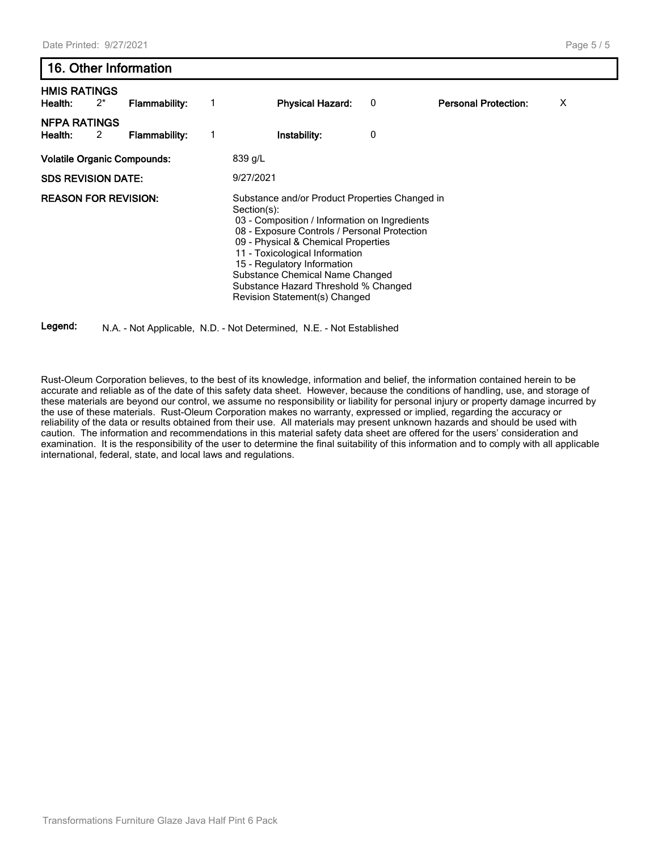# **16. Other Information HMIS RATINGS Health:** 2\* **Flammability:** 1 **Physical Hazard:** 0 **Personal Protection:** X **NFPA RATINGS Health:** 2 **Flammability:** 1 **Instability:** 0

**Volatile Organic Compounds:** 839 g/L **SDS REVISION DATE:** 9/27/2021 **REASON FOR REVISION:** Substance and/or Product Properties Changed in Section(s): 03 - Composition / Information on Ingredients 08 - Exposure Controls / Personal Protection 09 - Physical & Chemical Properties 11 - Toxicological Information 15 - Regulatory Information Substance Chemical Name Changed Substance Hazard Threshold % Changed Revision Statement(s) Changed

**Legend:** N.A. - Not Applicable, N.D. - Not Determined, N.E. - Not Established

Rust-Oleum Corporation believes, to the best of its knowledge, information and belief, the information contained herein to be accurate and reliable as of the date of this safety data sheet. However, because the conditions of handling, use, and storage of these materials are beyond our control, we assume no responsibility or liability for personal injury or property damage incurred by the use of these materials. Rust-Oleum Corporation makes no warranty, expressed or implied, regarding the accuracy or reliability of the data or results obtained from their use. All materials may present unknown hazards and should be used with caution. The information and recommendations in this material safety data sheet are offered for the users' consideration and examination. It is the responsibility of the user to determine the final suitability of this information and to comply with all applicable international, federal, state, and local laws and regulations.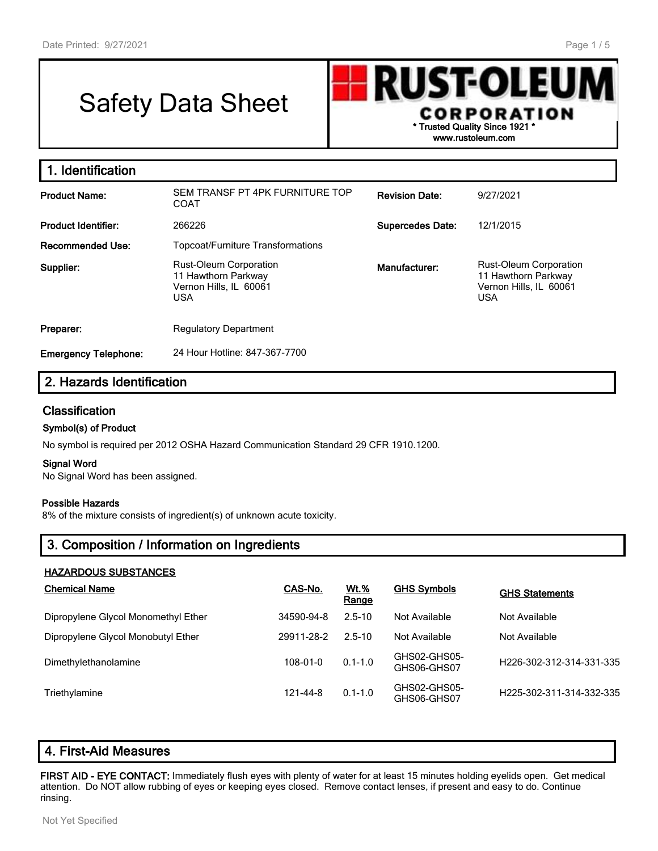г

# Safety Data Sheet



| 1. Identification           |                                                                                              |                         |                                                                                              |
|-----------------------------|----------------------------------------------------------------------------------------------|-------------------------|----------------------------------------------------------------------------------------------|
| <b>Product Name:</b>        | SEM TRANSF PT 4PK FURNITURE TOP<br><b>COAT</b>                                               | <b>Revision Date:</b>   | 9/27/2021                                                                                    |
| <b>Product Identifier:</b>  | 266226                                                                                       | <b>Supercedes Date:</b> | 12/1/2015                                                                                    |
| <b>Recommended Use:</b>     | <b>Topcoat/Furniture Transformations</b>                                                     |                         |                                                                                              |
| Supplier:                   | <b>Rust-Oleum Corporation</b><br>11 Hawthorn Parkway<br>Vernon Hills, IL 60061<br><b>USA</b> | Manufacturer:           | <b>Rust-Oleum Corporation</b><br>11 Hawthorn Parkway<br>Vernon Hills, IL 60061<br><b>USA</b> |
| Preparer:                   | <b>Regulatory Department</b>                                                                 |                         |                                                                                              |
| <b>Emergency Telephone:</b> | 24 Hour Hotline: 847-367-7700                                                                |                         |                                                                                              |

# **2. Hazards Identification**

#### **Classification**

#### **Symbol(s) of Product**

No symbol is required per 2012 OSHA Hazard Communication Standard 29 CFR 1910.1200.

#### **Signal Word**

No Signal Word has been assigned.

#### **Possible Hazards**

8% of the mixture consists of ingredient(s) of unknown acute toxicity.

# **3. Composition / Information on Ingredients**

#### **HAZARDOUS SUBSTANCES**

| <b>Chemical Name</b>                | CAS-No.    | <b>Wt.%</b><br>Range | <b>GHS Symbols</b>          | <b>GHS Statements</b>    |
|-------------------------------------|------------|----------------------|-----------------------------|--------------------------|
| Dipropylene Glycol Monomethyl Ether | 34590-94-8 | $2.5 - 10$           | Not Available               | Not Available            |
| Dipropylene Glycol Monobutyl Ether  | 29911-28-2 | $2.5 - 10$           | Not Available               | Not Available            |
| Dimethylethanolamine                | 108-01-0   | $0.1 - 1.0$          | GHS02-GHS05-<br>GHS06-GHS07 | H226-302-312-314-331-335 |
| Triethylamine                       | 121-44-8   | $0.1 - 1.0$          | GHS02-GHS05-<br>GHS06-GHS07 | H225-302-311-314-332-335 |

| 4. First-Aid Measures |  |
|-----------------------|--|
|-----------------------|--|

**FIRST AID - EYE CONTACT:** Immediately flush eyes with plenty of water for at least 15 minutes holding eyelids open. Get medical attention. Do NOT allow rubbing of eyes or keeping eyes closed. Remove contact lenses, if present and easy to do. Continue rinsing.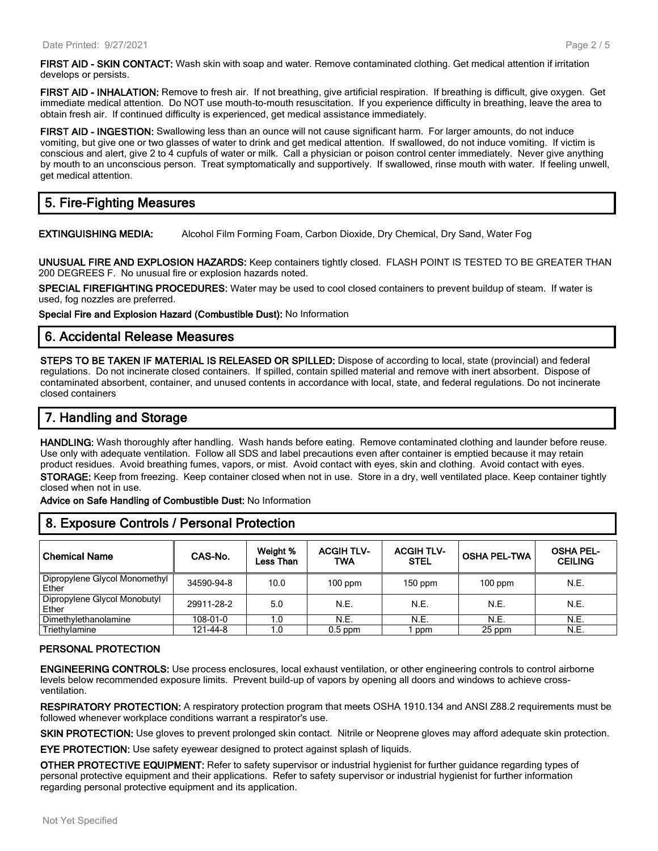**FIRST AID - INHALATION:** Remove to fresh air. If not breathing, give artificial respiration. If breathing is difficult, give oxygen. Get immediate medical attention. Do NOT use mouth-to-mouth resuscitation. If you experience difficulty in breathing, leave the area to obtain fresh air. If continued difficulty is experienced, get medical assistance immediately.

**FIRST AID - INGESTION:** Swallowing less than an ounce will not cause significant harm. For larger amounts, do not induce vomiting, but give one or two glasses of water to drink and get medical attention. If swallowed, do not induce vomiting. If victim is conscious and alert, give 2 to 4 cupfuls of water or milk. Call a physician or poison control center immediately. Never give anything by mouth to an unconscious person. Treat symptomatically and supportively. If swallowed, rinse mouth with water. If feeling unwell, get medical attention.

# **5. Fire-Fighting Measures**

**EXTINGUISHING MEDIA:** Alcohol Film Forming Foam, Carbon Dioxide, Dry Chemical, Dry Sand, Water Fog

**UNUSUAL FIRE AND EXPLOSION HAZARDS:** Keep containers tightly closed. FLASH POINT IS TESTED TO BE GREATER THAN 200 DEGREES F. No unusual fire or explosion hazards noted.

**SPECIAL FIREFIGHTING PROCEDURES:** Water may be used to cool closed containers to prevent buildup of steam. If water is used, fog nozzles are preferred.

**Special Fire and Explosion Hazard (Combustible Dust):** No Information

# **6. Accidental Release Measures**

**STEPS TO BE TAKEN IF MATERIAL IS RELEASED OR SPILLED:** Dispose of according to local, state (provincial) and federal regulations. Do not incinerate closed containers. If spilled, contain spilled material and remove with inert absorbent. Dispose of contaminated absorbent, container, and unused contents in accordance with local, state, and federal regulations. Do not incinerate closed containers

# **7. Handling and Storage**

**HANDLING:** Wash thoroughly after handling. Wash hands before eating. Remove contaminated clothing and launder before reuse. Use only with adequate ventilation. Follow all SDS and label precautions even after container is emptied because it may retain product residues. Avoid breathing fumes, vapors, or mist. Avoid contact with eyes, skin and clothing. Avoid contact with eyes. **STORAGE:** Keep from freezing. Keep container closed when not in use. Store in a dry, well ventilated place. Keep container tightly closed when not in use.

**Advice on Safe Handling of Combustible Dust:** No Information

| 8. Exposure Controls / Personal Protection |            |                              |                          |                                  |                     |                                    |
|--------------------------------------------|------------|------------------------------|--------------------------|----------------------------------|---------------------|------------------------------------|
| <b>Chemical Name</b>                       | CAS-No.    | Weight %<br><b>Less Than</b> | <b>ACGIH TLV-</b><br>TWA | <b>ACGIH TLV-</b><br><b>STEL</b> | <b>OSHA PEL-TWA</b> | <b>OSHA PEL-</b><br><b>CEILING</b> |
| Dipropylene Glycol Monomethyl<br>Ether     | 34590-94-8 | 10.0                         | $100$ ppm                | 150 ppm                          | $100$ ppm           | N.E.                               |
| Dipropylene Glycol Monobutyl<br>Ether      | 29911-28-2 | 5.0                          | N.E.                     | N.E.                             | N.E.                | N.E.                               |
| Dimethylethanolamine                       | 108-01-0   | 1.0                          | N.E.                     | N.E.                             | N.E.                | N.E.                               |
| Triethvlamine                              | 121-44-8   | 1.0                          | $0.5$ ppm                | ppm                              | 25 ppm              | N.E.                               |

#### **PERSONAL PROTECTION**

**ENGINEERING CONTROLS:** Use process enclosures, local exhaust ventilation, or other engineering controls to control airborne levels below recommended exposure limits. Prevent build-up of vapors by opening all doors and windows to achieve crossventilation.

**RESPIRATORY PROTECTION:** A respiratory protection program that meets OSHA 1910.134 and ANSI Z88.2 requirements must be followed whenever workplace conditions warrant a respirator's use.

**SKIN PROTECTION:** Use gloves to prevent prolonged skin contact. Nitrile or Neoprene gloves may afford adequate skin protection.

**EYE PROTECTION:** Use safety eyewear designed to protect against splash of liquids.

**OTHER PROTECTIVE EQUIPMENT:** Refer to safety supervisor or industrial hygienist for further guidance regarding types of personal protective equipment and their applications. Refer to safety supervisor or industrial hygienist for further information regarding personal protective equipment and its application.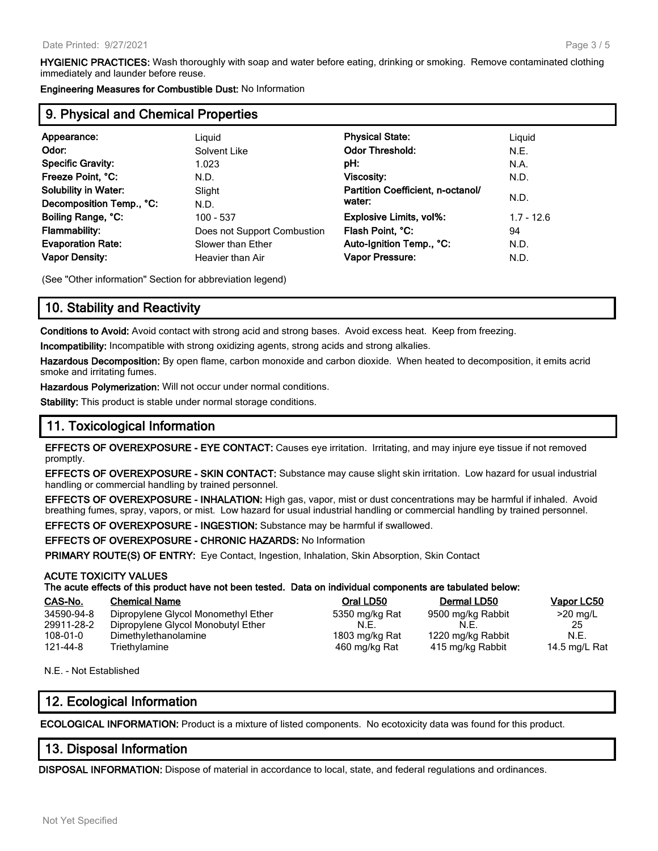**HYGIENIC PRACTICES:** Wash thoroughly with soap and water before eating, drinking or smoking. Remove contaminated clothing immediately and launder before reuse.

**Engineering Measures for Combustible Dust:** No Information

# **9. Physical and Chemical Properties**

| Appearance:                 | Liguid                      | <b>Physical State:</b>            | Liguid       |
|-----------------------------|-----------------------------|-----------------------------------|--------------|
| Odor:                       | Solvent Like                | <b>Odor Threshold:</b>            | N.E.         |
| <b>Specific Gravity:</b>    | 1.023                       | pH:                               | N.A.         |
| Freeze Point, °C:           | N.D.                        | Viscosity:                        | N.D.         |
| <b>Solubility in Water:</b> | Slight                      | Partition Coefficient, n-octanol/ |              |
| Decomposition Temp., °C:    | N.D.                        | water:                            | N.D.         |
| Boiling Range, °C:          | 100 - 537                   | Explosive Limits, vol%:           | $1.7 - 12.6$ |
| <b>Flammability:</b>        | Does not Support Combustion | Flash Point, °C:                  | 94           |
| <b>Evaporation Rate:</b>    | Slower than Ether           | Auto-Ignition Temp., °C:          | N.D.         |
| <b>Vapor Density:</b>       | Heavier than Air            | <b>Vapor Pressure:</b>            | N.D.         |
|                             |                             |                                   |              |

(See "Other information" Section for abbreviation legend)

# **10. Stability and Reactivity**

**Conditions to Avoid:** Avoid contact with strong acid and strong bases. Avoid excess heat. Keep from freezing.

**Incompatibility:** Incompatible with strong oxidizing agents, strong acids and strong alkalies.

**Hazardous Decomposition:** By open flame, carbon monoxide and carbon dioxide. When heated to decomposition, it emits acrid smoke and irritating fumes.

**Hazardous Polymerization:** Will not occur under normal conditions.

**Stability:** This product is stable under normal storage conditions.

# **11. Toxicological Information**

**EFFECTS OF OVEREXPOSURE - EYE CONTACT:** Causes eye irritation. Irritating, and may injure eye tissue if not removed promptly.

**EFFECTS OF OVEREXPOSURE - SKIN CONTACT:** Substance may cause slight skin irritation. Low hazard for usual industrial handling or commercial handling by trained personnel.

**EFFECTS OF OVEREXPOSURE - INHALATION:** High gas, vapor, mist or dust concentrations may be harmful if inhaled. Avoid breathing fumes, spray, vapors, or mist. Low hazard for usual industrial handling or commercial handling by trained personnel.

**EFFECTS OF OVEREXPOSURE - INGESTION:** Substance may be harmful if swallowed.

**EFFECTS OF OVEREXPOSURE - CHRONIC HAZARDS:** No Information

**PRIMARY ROUTE(S) OF ENTRY:** Eye Contact, Ingestion, Inhalation, Skin Absorption, Skin Contact

#### **ACUTE TOXICITY VALUES**

**The acute effects of this product have not been tested. Data on individual components are tabulated below:**

| CAS-No.        | <b>Chemical Name</b>                | Oral LD50      | Dermal LD50       | Vapor LC50    |
|----------------|-------------------------------------|----------------|-------------------|---------------|
| 34590-94-8     | Dipropylene Glycol Monomethyl Ether | 5350 mg/kg Rat | 9500 mg/kg Rabbit | $>20$ mg/L    |
| 29911-28-2     | Dipropylene Glycol Monobutyl Ether  | N.E            | N.E.              |               |
| $108 - 01 - 0$ | Dimethylethanolamine                | 1803 mg/kg Rat | 1220 mg/kg Rabbit | N.E.          |
| 121-44-8       | Triethylamine                       | 460 mg/kg Rat  | 415 mg/kg Rabbit  | 14.5 mg/L Rat |

N.E. - Not Established

### **12. Ecological Information**

**ECOLOGICAL INFORMATION:** Product is a mixture of listed components. No ecotoxicity data was found for this product.

# **13. Disposal Information**

**DISPOSAL INFORMATION:** Dispose of material in accordance to local, state, and federal regulations and ordinances.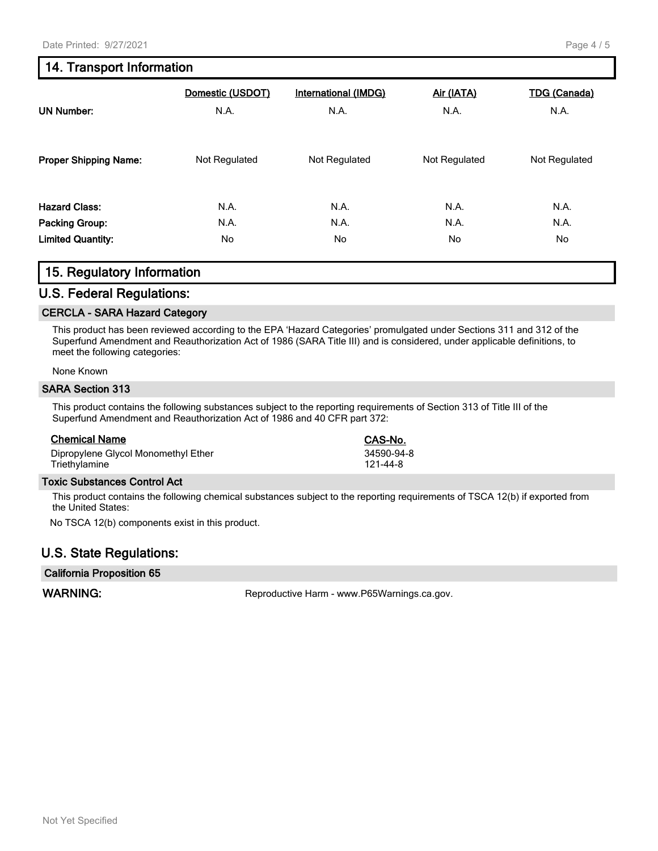# **14. Transport Information**

| <b>UN Number:</b>            | Domestic (USDOT)<br>N.A. | <b>International (IMDG)</b><br>N.A. | Air (IATA)<br>N.A. | <b>TDG</b> (Canada)<br>N.A. |
|------------------------------|--------------------------|-------------------------------------|--------------------|-----------------------------|
| <b>Proper Shipping Name:</b> | Not Regulated            | Not Regulated                       | Not Regulated      | Not Regulated               |
| <b>Hazard Class:</b>         | N.A.                     | N.A.                                | N.A.               | N.A.                        |
| Packing Group:               | N.A.                     | N.A.                                | N.A.               | N.A.                        |
| <b>Limited Quantity:</b>     | No.                      | No.                                 | No.                | No.                         |

#### **15. Regulatory Information**

#### **U.S. Federal Regulations:**

#### **CERCLA - SARA Hazard Category**

This product has been reviewed according to the EPA 'Hazard Categories' promulgated under Sections 311 and 312 of the Superfund Amendment and Reauthorization Act of 1986 (SARA Title III) and is considered, under applicable definitions, to meet the following categories:

None Known

#### **SARA Section 313**

This product contains the following substances subject to the reporting requirements of Section 313 of Title III of the Superfund Amendment and Reauthorization Act of 1986 and 40 CFR part 372:

#### **Chemical Name CAS-No.**

Dipropylene Glycol Monomethyl Ether 34590-94-8 Triethylamine 121-44-8

#### **Toxic Substances Control Act**

This product contains the following chemical substances subject to the reporting requirements of TSCA 12(b) if exported from the United States:

No TSCA 12(b) components exist in this product.

### **U.S. State Regulations:**

#### **California Proposition 65**

WARNING: **WARNING:** Reproductive Harm - www.P65Warnings.ca.gov.